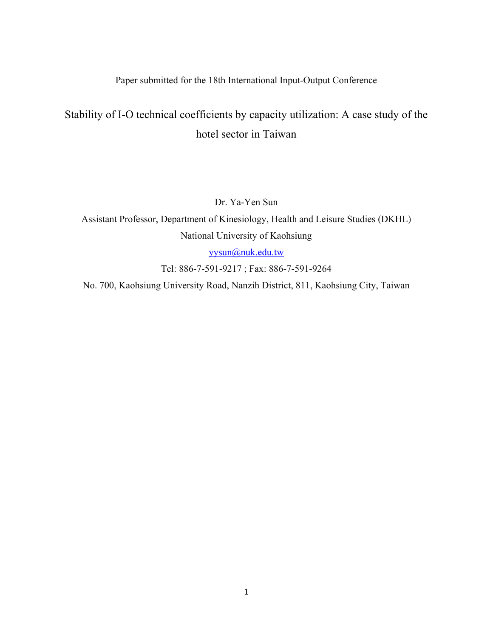Paper submitted for the 18th International Input-Output Conference

# Stability of I-O technical coefficients by capacity utilization: A case study of the hotel sector in Taiwan

Dr. Ya-Yen Sun

Assistant Professor, Department of Kinesiology, Health and Leisure Studies (DKHL) National University of Kaohsiung

[yysun@nuk.edu.tw](mailto:yysun@nuk.edu.tw) 

Tel: 886-7-591-9217 ; Fax: 886-7-591-9264

No. 700, Kaohsiung University Road, Nanzih District, 811, Kaohsiung City, Taiwan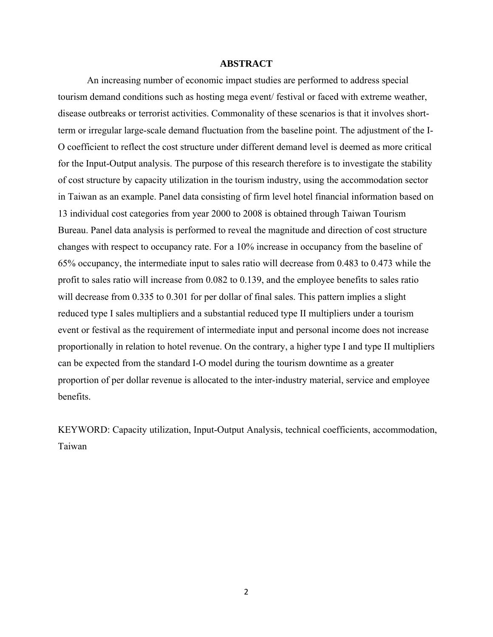## **ABSTRACT**

An increasing number of economic impact studies are performed to address special tourism demand conditions such as hosting mega event/ festival or faced with extreme weather, disease outbreaks or terrorist activities. Commonality of these scenarios is that it involves shortterm or irregular large-scale demand fluctuation from the baseline point. The adjustment of the I-O coefficient to reflect the cost structure under different demand level is deemed as more critical for the Input-Output analysis. The purpose of this research therefore is to investigate the stability of cost structure by capacity utilization in the tourism industry, using the accommodation sector in Taiwan as an example. Panel data consisting of firm level hotel financial information based on 13 individual cost categories from year 2000 to 2008 is obtained through Taiwan Tourism Bureau. Panel data analysis is performed to reveal the magnitude and direction of cost structure changes with respect to occupancy rate. For a 10% increase in occupancy from the baseline of 65% occupancy, the intermediate input to sales ratio will decrease from 0.483 to 0.473 while the profit to sales ratio will increase from 0.082 to 0.139, and the employee benefits to sales ratio will decrease from 0.335 to 0.301 for per dollar of final sales. This pattern implies a slight reduced type I sales multipliers and a substantial reduced type II multipliers under a tourism event or festival as the requirement of intermediate input and personal income does not increase proportionally in relation to hotel revenue. On the contrary, a higher type I and type II multipliers can be expected from the standard I-O model during the tourism downtime as a greater proportion of per dollar revenue is allocated to the inter-industry material, service and employee benefits.

KEYWORD: Capacity utilization, Input-Output Analysis, technical coefficients, accommodation, Taiwan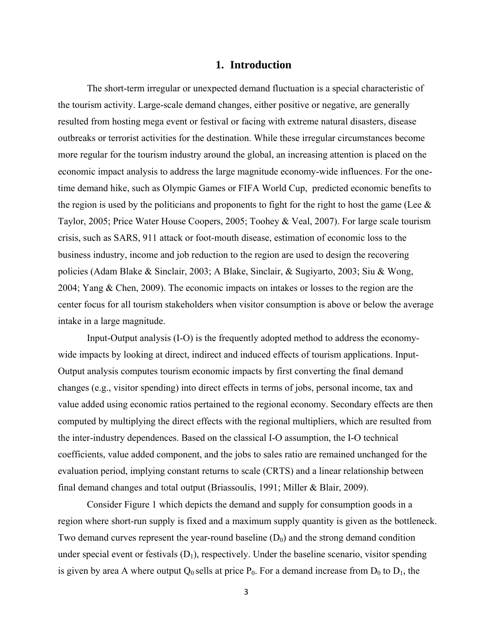## **1. Introduction**

The short-term irregular or unexpected demand fluctuation is a special characteristic of the tourism activity. Large-scale demand changes, either positive or negative, are generally resulted from hosting mega event or festival or facing with extreme natural disasters, disease outbreaks or terrorist activities for the destination. While these irregular circumstances become more regular for the tourism industry around the global, an increasing attention is placed on the economic impact analysis to address the large magnitude economy-wide influences. For the onetime demand hike, such as Olympic Games or FIFA World Cup, predicted economic benefits to the region is used by the politicians and proponents to fight for the right to host the game (Lee  $\&$ Taylor, 2005; Price Water House Coopers, 2005; Toohey & Veal, 2007). For large scale tourism crisis, such as SARS, 911 attack or foot-mouth disease, estimation of economic loss to the business industry, income and job reduction to the region are used to design the recovering policies (Adam Blake & Sinclair, 2003; A Blake, Sinclair, & Sugiyarto, 2003; Siu & Wong, 2004; Yang & Chen, 2009). The economic impacts on intakes or losses to the region are the center focus for all tourism stakeholders when visitor consumption is above or below the average intake in a large magnitude.

Input-Output analysis (I-O) is the frequently adopted method to address the economywide impacts by looking at direct, indirect and induced effects of tourism applications. Input-Output analysis computes tourism economic impacts by first converting the final demand changes (e.g., visitor spending) into direct effects in terms of jobs, personal income, tax and value added using economic ratios pertained to the regional economy. Secondary effects are then computed by multiplying the direct effects with the regional multipliers, which are resulted from the inter-industry dependences. Based on the classical I-O assumption, the I-O technical coefficients, value added component, and the jobs to sales ratio are remained unchanged for the evaluation period, implying constant returns to scale (CRTS) and a linear relationship between final demand changes and total output (Briassoulis, 1991; Miller & Blair, 2009).

Consider Figure 1 which depicts the demand and supply for consumption goods in a region where short-run supply is fixed and a maximum supply quantity is given as the bottleneck. Two demand curves represent the year-round baseline  $(D_0)$  and the strong demand condition under special event or festivals  $(D_1)$ , respectively. Under the baseline scenario, visitor spending is given by area A where output  $Q_0$  sells at price  $P_0$ . For a demand increase from  $D_0$  to  $D_1$ , the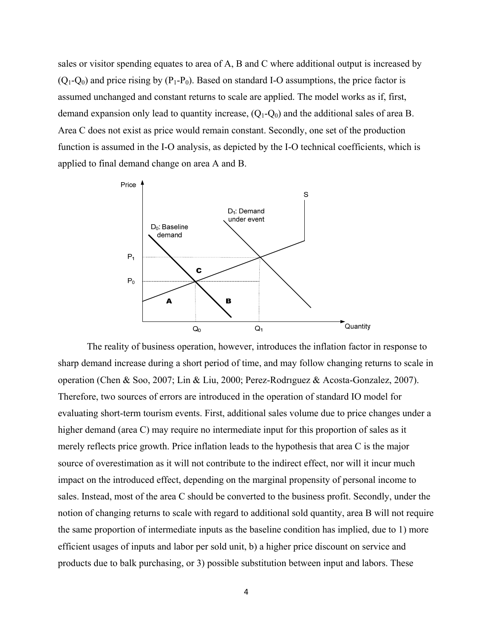sales or visitor spending equates to area of A, B and C where additional output is increased by  $(O_1-O_0)$  and price rising by  $(P_1-P_0)$ . Based on standard I-O assumptions, the price factor is assumed unchanged and constant returns to scale are applied. The model works as if, first, demand expansion only lead to quantity increase,  $(Q_1-Q_0)$  and the additional sales of area B. Area C does not exist as price would remain constant. Secondly, one set of the production function is assumed in the I-O analysis, as depicted by the I-O technical coefficients, which is applied to final demand change on area A and B.



The reality of business operation, however, introduces the inflation factor in response to sharp demand increase during a short period of time, and may follow changing returns to scale in operation (Chen & Soo, 2007; Lin & Liu, 2000; Perez-Rodrıguez & Acosta-Gonzalez, 2007). Therefore, two sources of errors are introduced in the operation of standard IO model for evaluating short-term tourism events. First, additional sales volume due to price changes under a higher demand (area C) may require no intermediate input for this proportion of sales as it merely reflects price growth. Price inflation leads to the hypothesis that area C is the major source of overestimation as it will not contribute to the indirect effect, nor will it incur much impact on the introduced effect, depending on the marginal propensity of personal income to sales. Instead, most of the area C should be converted to the business profit. Secondly, under the notion of changing returns to scale with regard to additional sold quantity, area B will not require the same proportion of intermediate inputs as the baseline condition has implied, due to 1) more efficient usages of inputs and labor per sold unit, b) a higher price discount on service and products due to balk purchasing, or 3) possible substitution between input and labors. These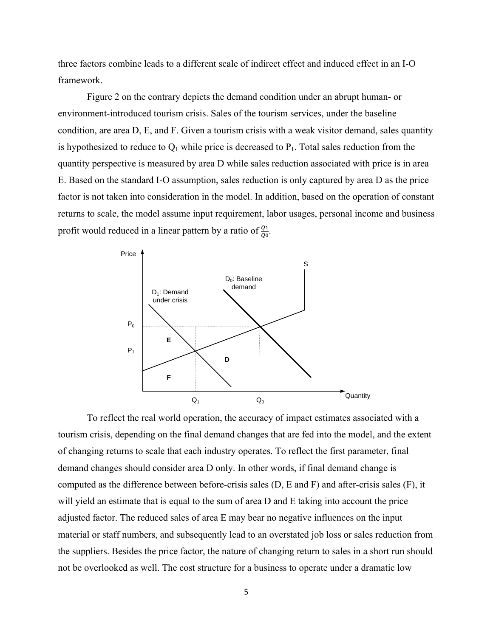three factors combine leads to a different scale of indirect effect and induced effect in an I-O framework.

Figure 2 on the contrary depicts the demand condition under an abrupt human- or environment-introduced tourism crisis. Sales of the tourism services, under the baseline condition, are area D, E, and F. Given a tourism crisis with a weak visitor demand, sales quantity is hypothesized to reduce to  $Q_1$  while price is decreased to  $P_1$ . Total sales reduction from the quantity perspective is measured by area D while sales reduction associated with price is in area E. Based on the standard I-O assumption, sales reduction is only captured by area D as the price factor is not taken into consideration in the model. In addition, based on the operation of constant returns to scale, the model assume input requirement, labor usages, personal income and business profit would reduced in a linear pattern by a ratio of  $\frac{q_1}{q_0}$ .



To reflect the real world operation, the accuracy of impact estimates associated with a tourism crisis, depending on the final demand changes that are fed into the model, and the extent of changing returns to scale that each industry operates. To reflect the first parameter, final demand changes should consider area D only. In other words, if final demand change is computed as the difference between before-crisis sales (D, E and F) and after-crisis sales (F), it will yield an estimate that is equal to the sum of area D and E taking into account the price adjusted factor. The reduced sales of area E may bear no negative influences on the input material or staff numbers, and subsequently lead to an overstated job loss or sales reduction from the suppliers. Besides the price factor, the nature of changing return to sales in a short run should not be overlooked as well. The cost structure for a business to operate under a dramatic low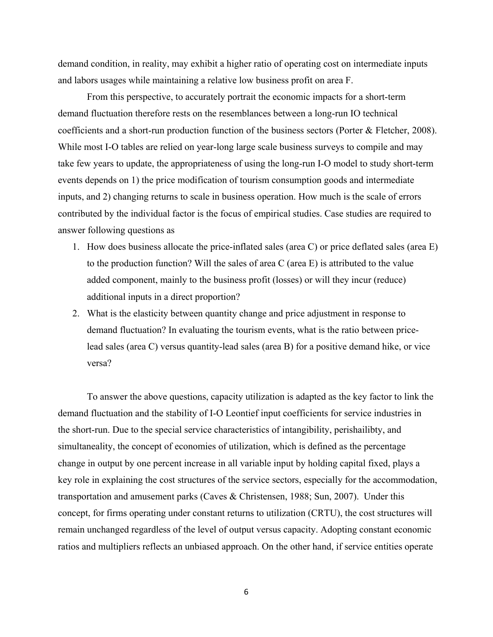demand condition, in reality, may exhibit a higher ratio of operating cost on intermediate inputs and labors usages while maintaining a relative low business profit on area F.

From this perspective, to accurately portrait the economic impacts for a short-term demand fluctuation therefore rests on the resemblances between a long-run IO technical coefficients and a short-run production function of the business sectors (Porter & Fletcher, 2008). While most I-O tables are relied on year-long large scale business surveys to compile and may take few years to update, the appropriateness of using the long-run I-O model to study short-term events depends on 1) the price modification of tourism consumption goods and intermediate inputs, and 2) changing returns to scale in business operation. How much is the scale of errors contributed by the individual factor is the focus of empirical studies. Case studies are required to answer following questions as

- 1. How does business allocate the price-inflated sales (area C) or price deflated sales (area E) to the production function? Will the sales of area C (area E) is attributed to the value added component, mainly to the business profit (losses) or will they incur (reduce) additional inputs in a direct proportion?
- 2. What is the elasticity between quantity change and price adjustment in response to demand fluctuation? In evaluating the tourism events, what is the ratio between pricelead sales (area C) versus quantity-lead sales (area B) for a positive demand hike, or vice versa?

To answer the above questions, capacity utilization is adapted as the key factor to link the demand fluctuation and the stability of I-O Leontief input coefficients for service industries in the short-run. Due to the special service characteristics of intangibility, perishailibty, and simultaneality, the concept of economies of utilization, which is defined as the percentage change in output by one percent increase in all variable input by holding capital fixed, plays a key role in explaining the cost structures of the service sectors, especially for the accommodation, transportation and amusement parks (Caves & Christensen, 1988; Sun, 2007). Under this concept, for firms operating under constant returns to utilization (CRTU), the cost structures will remain unchanged regardless of the level of output versus capacity. Adopting constant economic ratios and multipliers reflects an unbiased approach. On the other hand, if service entities operate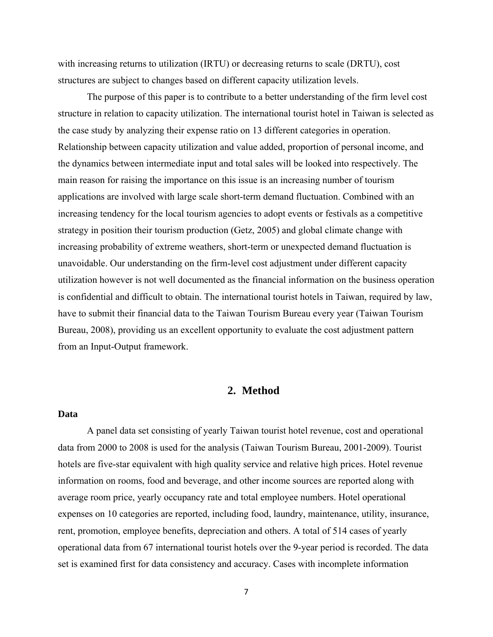with increasing returns to utilization (IRTU) or decreasing returns to scale (DRTU), cost structures are subject to changes based on different capacity utilization levels.

The purpose of this paper is to contribute to a better understanding of the firm level cost structure in relation to capacity utilization. The international tourist hotel in Taiwan is selected as the case study by analyzing their expense ratio on 13 different categories in operation. Relationship between capacity utilization and value added, proportion of personal income, and the dynamics between intermediate input and total sales will be looked into respectively. The main reason for raising the importance on this issue is an increasing number of tourism applications are involved with large scale short-term demand fluctuation. Combined with an increasing tendency for the local tourism agencies to adopt events or festivals as a competitive strategy in position their tourism production (Getz, 2005) and global climate change with increasing probability of extreme weathers, short-term or unexpected demand fluctuation is unavoidable. Our understanding on the firm-level cost adjustment under different capacity utilization however is not well documented as the financial information on the business operation is confidential and difficult to obtain. The international tourist hotels in Taiwan, required by law, have to submit their financial data to the Taiwan Tourism Bureau every year (Taiwan Tourism Bureau, 2008), providing us an excellent opportunity to evaluate the cost adjustment pattern from an Input-Output framework.

# **2. Method**

## **Data**

 A panel data set consisting of yearly Taiwan tourist hotel revenue, cost and operational data from 2000 to 2008 is used for the analysis (Taiwan Tourism Bureau, 2001-2009). Tourist hotels are five-star equivalent with high quality service and relative high prices. Hotel revenue information on rooms, food and beverage, and other income sources are reported along with average room price, yearly occupancy rate and total employee numbers. Hotel operational expenses on 10 categories are reported, including food, laundry, maintenance, utility, insurance, rent, promotion, employee benefits, depreciation and others. A total of 514 cases of yearly operational data from 67 international tourist hotels over the 9-year period is recorded. The data set is examined first for data consistency and accuracy. Cases with incomplete information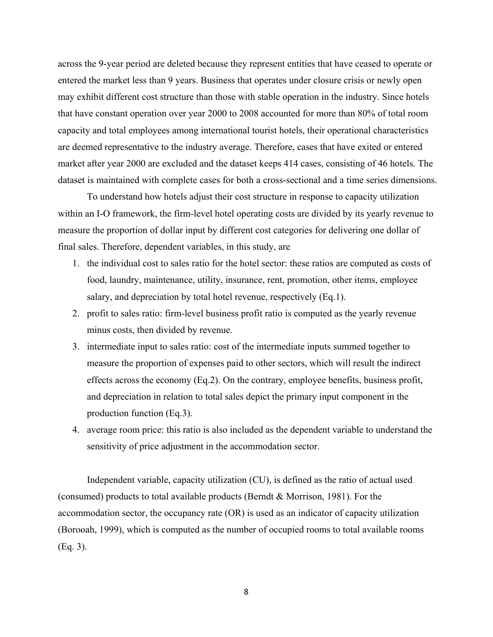across the 9-year period are deleted because they represent entities that have ceased to operate or entered the market less than 9 years. Business that operates under closure crisis or newly open may exhibit different cost structure than those with stable operation in the industry. Since hotels that have constant operation over year 2000 to 2008 accounted for more than 80% of total room capacity and total employees among international tourist hotels, their operational characteristics are deemed representative to the industry average. Therefore, cases that have exited or entered market after year 2000 are excluded and the dataset keeps 414 cases, consisting of 46 hotels. The dataset is maintained with complete cases for both a cross-sectional and a time series dimensions.

 To understand how hotels adjust their cost structure in response to capacity utilization within an I-O framework, the firm-level hotel operating costs are divided by its yearly revenue to measure the proportion of dollar input by different cost categories for delivering one dollar of final sales. Therefore, dependent variables, in this study, are

- 1. the individual cost to sales ratio for the hotel sector: these ratios are computed as costs of food, laundry, maintenance, utility, insurance, rent, promotion, other items, employee salary, and depreciation by total hotel revenue, respectively (Eq.1).
- 2. profit to sales ratio: firm-level business profit ratio is computed as the yearly revenue minus costs, then divided by revenue.
- 3. intermediate input to sales ratio: cost of the intermediate inputs summed together to measure the proportion of expenses paid to other sectors, which will result the indirect effects across the economy (Eq.2). On the contrary, employee benefits, business profit, and depreciation in relation to total sales depict the primary input component in the production function (Eq.3).
- 4. average room price: this ratio is also included as the dependent variable to understand the sensitivity of price adjustment in the accommodation sector.

Independent variable, capacity utilization (CU), is defined as the ratio of actual used (consumed) products to total available products (Berndt & Morrison, 1981). For the accommodation sector, the occupancy rate (OR) is used as an indicator of capacity utilization (Borooah, 1999), which is computed as the number of occupied rooms to total available rooms (Eq. 3).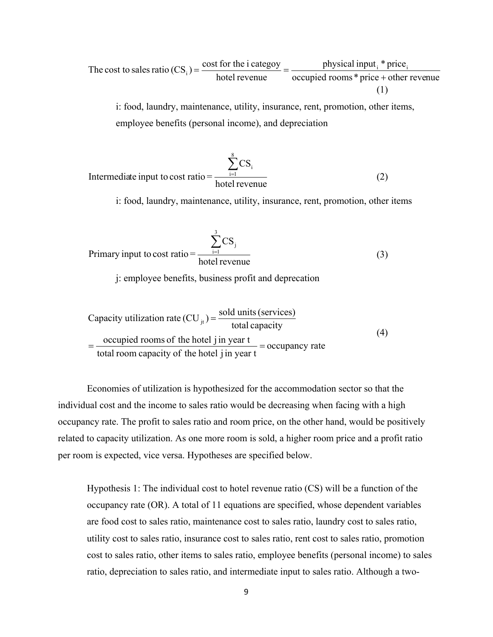The cost to sales ratio 
$$
(CS_i) = \frac{\text{cost for the i category}}{\text{hotel revenue}} = \frac{\text{physical input}_i \cdot \text{price}_i}{\text{occupied rooms} \cdot \text{price} + \text{other revenue}}
$$
  
(1)

i: food, laundry, maintenance, utility, insurance, rent, promotion, other items, employee benefits (personal income), and depreciation

Intermediate input to cost ratio = 
$$
\frac{\sum_{i=1}^{8} CS_i}{\text{ hotel revenue}}
$$
 (2)

i: food, laundry, maintenance, utility, insurance, rent, promotion, other items

Primary input to cost ratio = 
$$
\frac{\sum_{i=1}^{3} CS_{i}}{\text{hotel revenue}}
$$
 (3)

j: employee benefits, business profit and deprecation

Capacity utilization rate (CU<sub>jt</sub>) = 
$$
\frac{\text{solid units (serves)}}{\text{total capacity}}
$$

\n= 
$$
\frac{\text{occupied rooms of the hotel } j \text{ in year } t}{\text{total room capacity of the hotel } j \text{ in year } t} = \text{occupancy rate}
$$

\n(4)

Economies of utilization is hypothesized for the accommodation sector so that the individual cost and the income to sales ratio would be decreasing when facing with a high occupancy rate. The profit to sales ratio and room price, on the other hand, would be positively related to capacity utilization. As one more room is sold, a higher room price and a profit ratio per room is expected, vice versa. Hypotheses are specified below.

Hypothesis 1: The individual cost to hotel revenue ratio (CS) will be a function of the occupancy rate (OR). A total of 11 equations are specified, whose dependent variables are food cost to sales ratio, maintenance cost to sales ratio, laundry cost to sales ratio, utility cost to sales ratio, insurance cost to sales ratio, rent cost to sales ratio, promotion cost to sales ratio, other items to sales ratio, employee benefits (personal income) to sales ratio, depreciation to sales ratio, and intermediate input to sales ratio. Although a two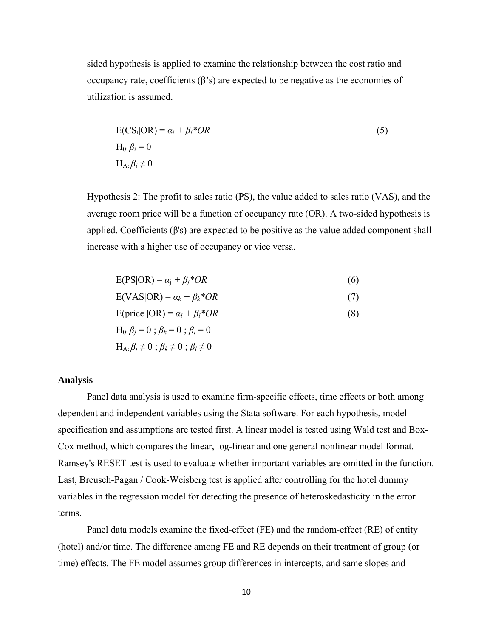sided hypothesis is applied to examine the relationship between the cost ratio and occupancy rate, coefficients (β's) are expected to be negative as the economies of utilization is assumed.

$$
E(CS_i|OR) = \alpha_i + \beta_i * OR
$$
  
\n
$$
H_0: \beta_i = 0
$$
  
\n
$$
H_A: \beta_i \neq 0
$$
\n(5)

Hypothesis 2: The profit to sales ratio (PS), the value added to sales ratio (VAS), and the average room price will be a function of occupancy rate (OR). A two-sided hypothesis is applied. Coefficients  $(\beta's)$  are expected to be positive as the value added component shall increase with a higher use of occupancy or vice versa.

$$
E(PS|OR) = \alpha_j + \beta_j * OR \tag{6}
$$

$$
E(VAS|OR) = \alpha_k + \beta_k * OR \tag{7}
$$

$$
E(\text{price } | \text{OR}) = \alpha_l + \beta_l * OR \tag{8}
$$

$$
H_0: \beta_j = 0; \beta_k = 0; \beta_l = 0
$$
  

$$
H_A: \beta_i \neq 0; \beta_k \neq 0; \beta_l \neq 0
$$

#### **Analysis**

Panel data analysis is used to examine firm-specific effects, time effects or both among dependent and independent variables using the Stata software. For each hypothesis, model specification and assumptions are tested first. A linear model is tested using Wald test and Box-Cox method, which compares the linear, log-linear and one general nonlinear model format. Ramsey's RESET test is used to evaluate whether important variables are omitted in the function. Last, Breusch-Pagan / Cook-Weisberg test is applied after controlling for the hotel dummy variables in the regression model for detecting the presence of heteroskedasticity in the error terms.

Panel data models examine the fixed-effect (FE) and the random-effect (RE) of entity (hotel) and/or time. The difference among FE and RE depends on their treatment of group (or time) effects. The FE model assumes group differences in intercepts, and same slopes and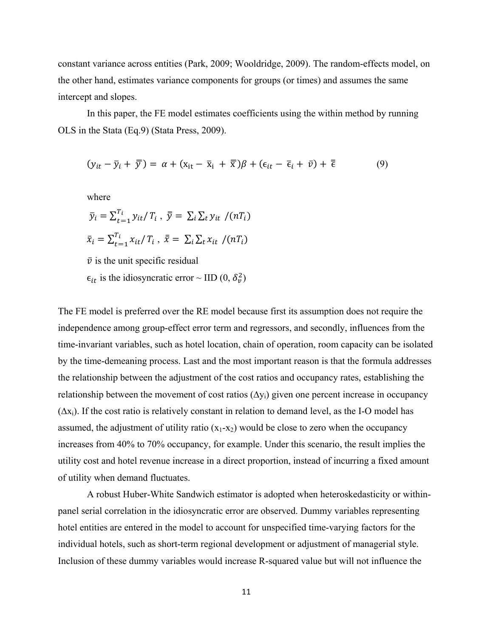constant variance across entities (Park, 2009; Wooldridge, 2009). The random-effects model, on the other hand, estimates variance components for groups (or times) and assumes the same intercept and slopes.

In this paper, the FE model estimates coefficients using the within method by running OLS in the Stata (Eq.9) (Stata Press, 2009).

$$
(y_{it} - \bar{y}_i + \bar{\bar{y}}) = \alpha + (x_{it} - \bar{x}_i + \bar{\bar{x}})\beta + (\epsilon_{it} - \bar{\epsilon}_i + \bar{v}) + \bar{\bar{\epsilon}} \tag{9}
$$

where

$$
\bar{y}_i = \sum_{t=1}^{T_i} y_{it} / T_i, \ \bar{y} = \sum_i \sum_t y_{it} / (nT_i)
$$
  

$$
\bar{x}_i = \sum_{t=1}^{T_i} x_{it} / T_i, \ \bar{x} = \sum_i \sum_t x_{it} / (nT_i)
$$
  

$$
\bar{v}
$$
 is the unit specific residual

 $\epsilon_{it}$  is the idiosyncratic error ~ IID (0,  $\delta_v^2$ )

The FE model is preferred over the RE model because first its assumption does not require the independence among group-effect error term and regressors, and secondly, influences from the time-invariant variables, such as hotel location, chain of operation, room capacity can be isolated by the time-demeaning process. Last and the most important reason is that the formula addresses the relationship between the adjustment of the cost ratios and occupancy rates, establishing the relationship between the movement of cost ratios  $(\Delta y_i)$  given one percent increase in occupancy  $(\Delta x_i)$ . If the cost ratio is relatively constant in relation to demand level, as the I-O model has assumed, the adjustment of utility ratio  $(x_1-x_2)$  would be close to zero when the occupancy increases from 40% to 70% occupancy, for example. Under this scenario, the result implies the utility cost and hotel revenue increase in a direct proportion, instead of incurring a fixed amount of utility when demand fluctuates.

A robust Huber-White Sandwich estimator is adopted when heteroskedasticity or withinpanel serial correlation in the idiosyncratic error are observed. Dummy variables representing hotel entities are entered in the model to account for unspecified time-varying factors for the individual hotels, such as short-term regional development or adjustment of managerial style. Inclusion of these dummy variables would increase R-squared value but will not influence the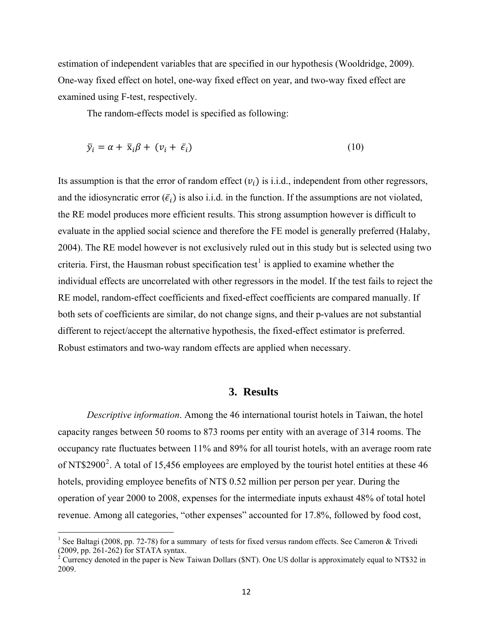estimation of independent variables that are specified in our hypothesis (Wooldridge, 2009). One-way fixed effect on hotel, one-way fixed effect on year, and two-way fixed effect are examined using F-test, respectively.

The random-effects model is specified as following:

$$
\bar{y}_i = \alpha + \bar{x}_i \beta + (v_i + \bar{\epsilon}_i) \tag{10}
$$

Its assumption is that the error of random effect  $(v_i)$  is i.i.d., independent from other regressors, and the idiosyncratic error  $(\bar{\epsilon}_i)$  is also i.i.d. in the function. If the assumptions are not violated, the RE model produces more efficient results. This strong assumption however is difficult to evaluate in the applied social science and therefore the FE model is generally preferred (Halaby, 2004). The RE model however is not exclusively ruled out in this study but is selected using two criteria. First, the Hausman robust specification test<sup>[1](#page-11-0)</sup> is applied to examine whether the individual effects are uncorrelated with other regressors in the model. If the test fails to reject the RE model, random-effect coefficients and fixed-effect coefficients are compared manually. If both sets of coefficients are similar, do not change signs, and their p-values are not substantial different to reject/accept the alternative hypothesis, the fixed-effect estimator is preferred. Robust estimators and two-way random effects are applied when necessary.

# **3. Results**

*Descriptive information*. Among the 46 international tourist hotels in Taiwan, the hotel capacity ranges between 50 rooms to 873 rooms per entity with an average of 314 rooms. The occupancy rate fluctuates between 11% and 89% for all tourist hotels, with an average room rate of NT\$[2](#page-11-1)900<sup>2</sup>. A total of 15,456 employees are employed by the tourist hotel entities at these 46 hotels, providing employee benefits of NT\$ 0.52 million per person per year. During the operation of year 2000 to 2008, expenses for the intermediate inputs exhaust 48% of total hotel revenue. Among all categories, "other expenses" accounted for 17.8%, followed by food cost,

<span id="page-11-0"></span><sup>&</sup>lt;sup>1</sup> See Baltagi (2008, pp. 72-78) for a summary of tests for fixed versus random effects. See Cameron & Trivedi (2009, pp. 261-262) for STATA syntax.

<span id="page-11-1"></span><sup>&</sup>lt;sup>2</sup> Currency denoted in the paper is New Taiwan Dollars (\$NT). One US dollar is approximately equal to NT\$32 in 2009.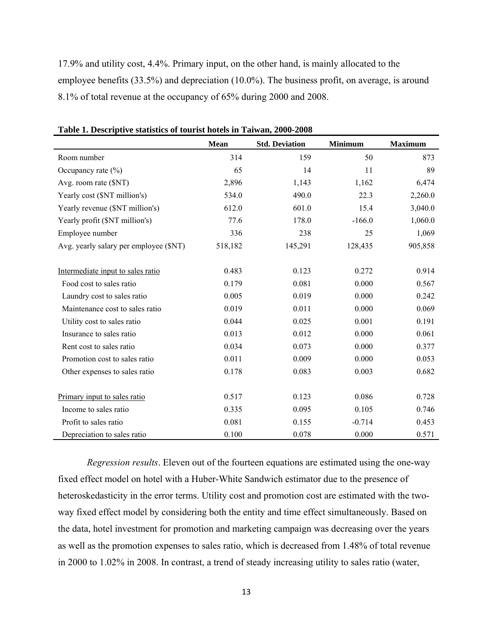17.9% and utility cost, 4.4%. Primary input, on the other hand, is mainly allocated to the employee benefits (33.5%) and depreciation (10.0%). The business profit, on average, is around 8.1% of total revenue at the occupancy of 65% during 2000 and 2008.

|                                        | <b>Mean</b> | <b>Std. Deviation</b> | <b>Minimum</b> | <b>Maximum</b> |
|----------------------------------------|-------------|-----------------------|----------------|----------------|
| Room number                            | 314         | 159                   | 50             | 873            |
| Occupancy rate $(\% )$                 | 65          | 14                    | 11             | 89             |
| Avg. room rate (\$NT)                  | 2,896       | 1,143                 | 1,162          | 6,474          |
| Yearly cost (\$NT million's)           | 534.0       | 490.0                 | 22.3           | 2,260.0        |
| Yearly revenue (\$NT million's)        | 612.0       | 601.0                 | 15.4           | 3,040.0        |
| Yearly profit (\$NT million's)         | 77.6        | 178.0                 | $-166.0$       | 1,060.0        |
| Employee number                        | 336         | 238                   | 25             | 1,069          |
| Avg. yearly salary per employee (\$NT) | 518,182     | 145,291               | 128,435        | 905,858        |
| Intermediate input to sales ratio      | 0.483       | 0.123                 | 0.272          | 0.914          |
| Food cost to sales ratio               | 0.179       | 0.081                 | 0.000          | 0.567          |
| Laundry cost to sales ratio            | 0.005       | 0.019                 | 0.000          | 0.242          |
| Maintenance cost to sales ratio        | 0.019       | 0.011                 | 0.000          | 0.069          |
| Utility cost to sales ratio            | 0.044       | 0.025                 | 0.001          | 0.191          |
| Insurance to sales ratio               | 0.013       | 0.012                 | 0.000          | 0.061          |
| Rent cost to sales ratio               | 0.034       | 0.073                 | 0.000          | 0.377          |
| Promotion cost to sales ratio          | 0.011       | 0.009                 | 0.000          | 0.053          |
| Other expenses to sales ratio          | 0.178       | 0.083                 | 0.003          | 0.682          |
| Primary input to sales ratio           | 0.517       | 0.123                 | 0.086          | 0.728          |
| Income to sales ratio                  | 0.335       | 0.095                 | 0.105          | 0.746          |
| Profit to sales ratio                  | 0.081       | 0.155                 | $-0.714$       | 0.453          |
| Depreciation to sales ratio            | 0.100       | 0.078                 | 0.000          | 0.571          |

**Table 1. Descriptive statistics of tourist hotels in Taiwan, 2000-2008** 

*Regression results*. Eleven out of the fourteen equations are estimated using the one-way fixed effect model on hotel with a Huber-White Sandwich estimator due to the presence of heteroskedasticity in the error terms. Utility cost and promotion cost are estimated with the twoway fixed effect model by considering both the entity and time effect simultaneously. Based on the data, hotel investment for promotion and marketing campaign was decreasing over the years as well as the promotion expenses to sales ratio, which is decreased from 1.48% of total revenue in 2000 to 1.02% in 2008. In contrast, a trend of steady increasing utility to sales ratio (water,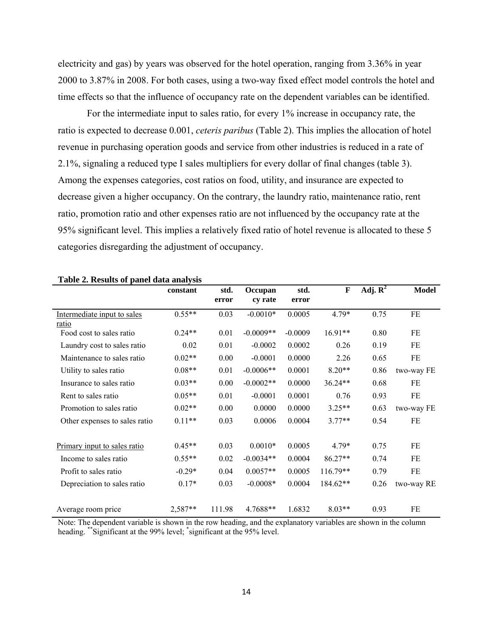electricity and gas) by years was observed for the hotel operation, ranging from 3.36% in year 2000 to 3.87% in 2008. For both cases, using a two-way fixed effect model controls the hotel and time effects so that the influence of occupancy rate on the dependent variables can be identified.

 For the intermediate input to sales ratio, for every 1% increase in occupancy rate, the ratio is expected to decrease 0.001, *ceteris paribus* (Table 2). This implies the allocation of hotel revenue in purchasing operation goods and service from other industries is reduced in a rate of 2.1%, signaling a reduced type I sales multipliers for every dollar of final changes (table 3). Among the expenses categories, cost ratios on food, utility, and insurance are expected to decrease given a higher occupancy. On the contrary, the laundry ratio, maintenance ratio, rent ratio, promotion ratio and other expenses ratio are not influenced by the occupancy rate at the 95% significant level. This implies a relatively fixed ratio of hotel revenue is allocated to these 5 categories disregarding the adjustment of occupancy.

|                                   | constant | std.   | Occupan     | std.      | $\mathbf F$ | Adj. $\overline{\mathbf{R}^2}$ | <b>Model</b> |
|-----------------------------------|----------|--------|-------------|-----------|-------------|--------------------------------|--------------|
|                                   |          | error  | cy rate     | error     |             |                                |              |
| Intermediate input to sales       | $0.55**$ | 0.03   | $-0.0010*$  | 0.0005    | $4.79*$     | 0.75                           | FE           |
| ratio<br>Food cost to sales ratio | $0.24**$ | 0.01   | $-0.0009**$ | $-0.0009$ | $16.91**$   | 0.80                           | FE           |
| Laundry cost to sales ratio       | 0.02     | 0.01   | $-0.0002$   | 0.0002    | 0.26        | 0.19                           | FE           |
| Maintenance to sales ratio        | $0.02**$ | 0.00   | $-0.0001$   | 0.0000    | 2.26        | 0.65                           | FE           |
| Utility to sales ratio            | $0.08**$ | 0.01   | $-0.0006**$ | 0.0001    | $8.20**$    | 0.86                           | two-way FE   |
| Insurance to sales ratio          | $0.03**$ | 0.00   | $-0.0002**$ | 0.0000    | $36.24**$   | 0.68                           | FE           |
| Rent to sales ratio               | $0.05**$ | 0.01   | $-0.0001$   | 0.0001    | 0.76        | 0.93                           | FE           |
| Promotion to sales ratio          | $0.02**$ | 0.00   | 0.0000      | 0.0000    | $3.25**$    | 0.63                           | two-way FE   |
| Other expenses to sales ratio     | $0.11**$ | 0.03   | 0.0006      | 0.0004    | $3.77**$    | 0.54                           | FE           |
| Primary input to sales ratio      | $0.45**$ | 0.03   | $0.0010*$   | 0.0005    | $4.79*$     | 0.75                           | FE           |
| Income to sales ratio             | $0.55**$ | 0.02   | $-0.0034**$ | 0.0004    | $86.27**$   | 0.74                           | FE           |
| Profit to sales ratio             | $-0.29*$ | 0.04   | $0.0057**$  | 0.0005    | 116.79**    | 0.79                           | FE           |
|                                   | $0.17*$  | 0.03   | $-0.0008*$  | 0.0004    | 184.62**    | 0.26                           |              |
| Depreciation to sales ratio       |          |        |             |           |             |                                | two-way RE   |
| Average room price                | 2,587**  | 111.98 | 4.7688**    | 1.6832    | $8.03**$    | 0.93                           | FE           |

#### **Table 2. Results of panel data analysis**

Note: The dependent variable is shown in the row heading, and the explanatory variables are shown in the column heading. \*\*Significant at the 99% level; \* significant at the 95% level.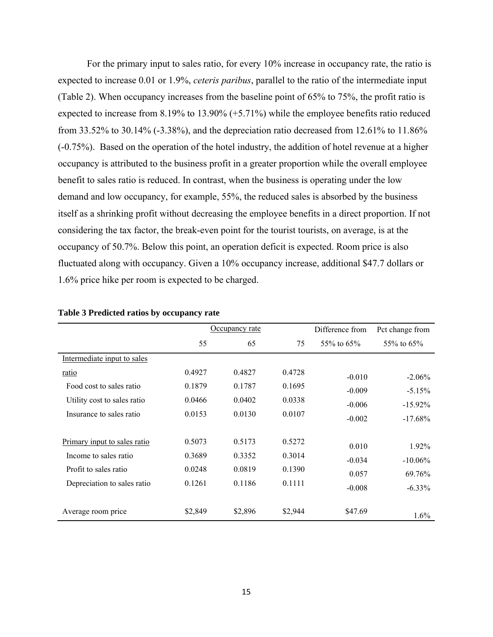For the primary input to sales ratio, for every 10% increase in occupancy rate, the ratio is expected to increase 0.01 or 1.9%, *ceteris paribus*, parallel to the ratio of the intermediate input (Table 2). When occupancy increases from the baseline point of 65% to 75%, the profit ratio is expected to increase from 8.19% to 13.90% (+5.71%) while the employee benefits ratio reduced from 33.52% to 30.14% (-3.38%), and the depreciation ratio decreased from 12.61% to 11.86% (-0.75%). Based on the operation of the hotel industry, the addition of hotel revenue at a higher occupancy is attributed to the business profit in a greater proportion while the overall employee benefit to sales ratio is reduced. In contrast, when the business is operating under the low demand and low occupancy, for example, 55%, the reduced sales is absorbed by the business itself as a shrinking profit without decreasing the employee benefits in a direct proportion. If not considering the tax factor, the break-even point for the tourist tourists, on average, is at the occupancy of 50.7%. Below this point, an operation deficit is expected. Room price is also fluctuated along with occupancy. Given a 10% occupancy increase, additional \$47.7 dollars or 1.6% price hike per room is expected to be charged.

|                              |         | Occupancy rate |         |                      | Pct change from  |
|------------------------------|---------|----------------|---------|----------------------|------------------|
|                              | 55      | 65             | 75      | 55\% to 65\%         | $55\%$ to $65\%$ |
| Intermediate input to sales  |         |                |         |                      |                  |
| ratio                        | 0.4927  | 0.4827         | 0.4728  | $-0.010$             | $-2.06\%$        |
| Food cost to sales ratio     | 0.1879  | 0.1787         | 0.1695  | $-0.009$<br>$-0.006$ | $-5.15%$         |
| Utility cost to sales ratio  | 0.0466  | 0.0402         | 0.0338  |                      | $-15.92\%$       |
| Insurance to sales ratio     | 0.0153  | 0.0130         | 0.0107  | $-0.002$             | $-17.68\%$       |
|                              |         |                |         |                      |                  |
| Primary input to sales ratio | 0.5073  | 0.5173         | 0.5272  | 0.010                | 1.92%            |
| Income to sales ratio        | 0.3689  | 0.3352         | 0.3014  | $-0.034$             | $-10.06\%$       |
| Profit to sales ratio        | 0.0248  | 0.0819         | 0.1390  | 0.057                | 69.76%           |
| Depreciation to sales ratio  | 0.1261  | 0.1186         | 0.1111  | $-0.008$             | $-6.33\%$        |
|                              |         |                |         |                      |                  |
| Average room price           | \$2,849 | \$2,896        | \$2,944 | \$47.69              | $1.6\%$          |

#### **Table 3 Predicted ratios by occupancy rate**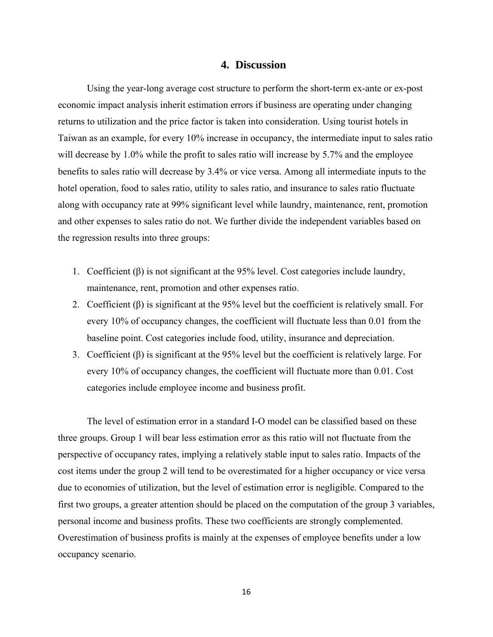## **4. Discussion**

Using the year-long average cost structure to perform the short-term ex-ante or ex-post economic impact analysis inherit estimation errors if business are operating under changing returns to utilization and the price factor is taken into consideration. Using tourist hotels in Taiwan as an example, for every 10% increase in occupancy, the intermediate input to sales ratio will decrease by 1.0% while the profit to sales ratio will increase by 5.7% and the employee benefits to sales ratio will decrease by 3.4% or vice versa. Among all intermediate inputs to the hotel operation, food to sales ratio, utility to sales ratio, and insurance to sales ratio fluctuate along with occupancy rate at 99% significant level while laundry, maintenance, rent, promotion and other expenses to sales ratio do not. We further divide the independent variables based on the regression results into three groups:

- 1. Coefficient (β) is not significant at the 95% level. Cost categories include laundry, maintenance, rent, promotion and other expenses ratio.
- 2. Coefficient (β) is significant at the 95% level but the coefficient is relatively small. For every 10% of occupancy changes, the coefficient will fluctuate less than 0.01 from the baseline point. Cost categories include food, utility, insurance and depreciation.
- 3. Coefficient (β) is significant at the 95% level but the coefficient is relatively large. For every 10% of occupancy changes, the coefficient will fluctuate more than 0.01. Cost categories include employee income and business profit.

The level of estimation error in a standard I-O model can be classified based on these three groups. Group 1 will bear less estimation error as this ratio will not fluctuate from the perspective of occupancy rates, implying a relatively stable input to sales ratio. Impacts of the cost items under the group 2 will tend to be overestimated for a higher occupancy or vice versa due to economies of utilization, but the level of estimation error is negligible. Compared to the first two groups, a greater attention should be placed on the computation of the group 3 variables, personal income and business profits. These two coefficients are strongly complemented. Overestimation of business profits is mainly at the expenses of employee benefits under a low occupancy scenario.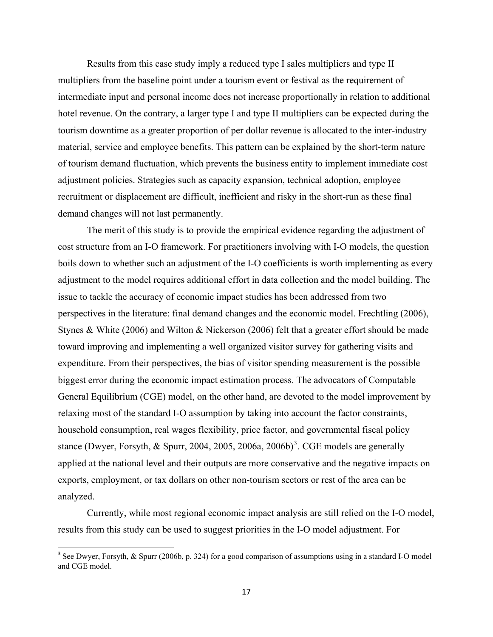Results from this case study imply a reduced type I sales multipliers and type II multipliers from the baseline point under a tourism event or festival as the requirement of intermediate input and personal income does not increase proportionally in relation to additional hotel revenue. On the contrary, a larger type I and type II multipliers can be expected during the tourism downtime as a greater proportion of per dollar revenue is allocated to the inter-industry material, service and employee benefits. This pattern can be explained by the short-term nature of tourism demand fluctuation, which prevents the business entity to implement immediate cost adjustment policies. Strategies such as capacity expansion, technical adoption, employee recruitment or displacement are difficult, inefficient and risky in the short-run as these final demand changes will not last permanently.

 The merit of this study is to provide the empirical evidence regarding the adjustment of cost structure from an I-O framework. For practitioners involving with I-O models, the question boils down to whether such an adjustment of the I-O coefficients is worth implementing as every adjustment to the model requires additional effort in data collection and the model building. The issue to tackle the accuracy of economic impact studies has been addressed from two perspectives in the literature: final demand changes and the economic model. Frechtling (2006), Stynes & White (2006) and Wilton & Nickerson (2006) felt that a greater effort should be made toward improving and implementing a well organized visitor survey for gathering visits and expenditure. From their perspectives, the bias of visitor spending measurement is the possible biggest error during the economic impact estimation process. The advocators of Computable General Equilibrium (CGE) model, on the other hand, are devoted to the model improvement by relaxing most of the standard I-O assumption by taking into account the factor constraints, household consumption, real wages flexibility, price factor, and governmental fiscal policy stance (Dwyer, Forsyth,  $& Spurr, 2004, 2005, 2006a, 2006b)^3$  $& Spurr, 2004, 2005, 2006a, 2006b)^3$ . CGE models are generally applied at the national level and their outputs are more conservative and the negative impacts on exports, employment, or tax dollars on other non-tourism sectors or rest of the area can be analyzed.

 Currently, while most regional economic impact analysis are still relied on the I-O model, results from this study can be used to suggest priorities in the I-O model adjustment. For

<span id="page-16-0"></span><sup>&</sup>lt;sup>3</sup> See Dwyer, Forsyth, & Spurr (2006b, p. 324) for a good comparison of assumptions using in a standard I-O model and CGE model.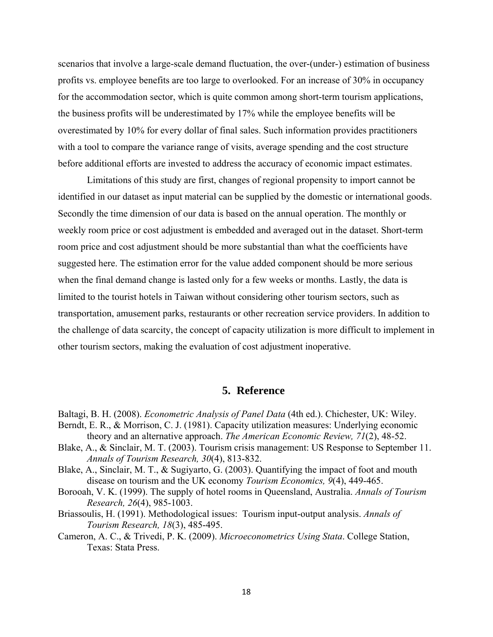scenarios that involve a large-scale demand fluctuation, the over-(under-) estimation of business profits vs. employee benefits are too large to overlooked. For an increase of 30% in occupancy for the accommodation sector, which is quite common among short-term tourism applications, the business profits will be underestimated by 17% while the employee benefits will be overestimated by 10% for every dollar of final sales. Such information provides practitioners with a tool to compare the variance range of visits, average spending and the cost structure before additional efforts are invested to address the accuracy of economic impact estimates.

 Limitations of this study are first, changes of regional propensity to import cannot be identified in our dataset as input material can be supplied by the domestic or international goods. Secondly the time dimension of our data is based on the annual operation. The monthly or weekly room price or cost adjustment is embedded and averaged out in the dataset. Short-term room price and cost adjustment should be more substantial than what the coefficients have suggested here. The estimation error for the value added component should be more serious when the final demand change is lasted only for a few weeks or months. Lastly, the data is limited to the tourist hotels in Taiwan without considering other tourism sectors, such as transportation, amusement parks, restaurants or other recreation service providers. In addition to the challenge of data scarcity, the concept of capacity utilization is more difficult to implement in other tourism sectors, making the evaluation of cost adjustment inoperative.

# **5. Reference**

- Baltagi, B. H. (2008). *Econometric Analysis of Panel Data* (4th ed.). Chichester, UK: Wiley.
- Berndt, E. R., & Morrison, C. J. (1981). Capacity utilization measures: Underlying economic theory and an alternative approach. *The American Economic Review, 71*(2), 48-52.
- Blake, A., & Sinclair, M. T. (2003). Tourism crisis management: US Response to September 11. *Annals of Tourism Research, 30*(4), 813-832.
- Blake, A., Sinclair, M. T., & Sugiyarto, G. (2003). Quantifying the impact of foot and mouth disease on tourism and the UK economy *Tourism Economics, 9*(4), 449-465.
- Borooah, V. K. (1999). The supply of hotel rooms in Queensland, Australia. *Annals of Tourism Research, 26*(4), 985-1003.
- Briassoulis, H. (1991). Methodological issues: Tourism input-output analysis. *Annals of Tourism Research, 18*(3), 485-495.
- Cameron, A. C., & Trivedi, P. K. (2009). *Microeconometrics Using Stata*. College Station, Texas: Stata Press.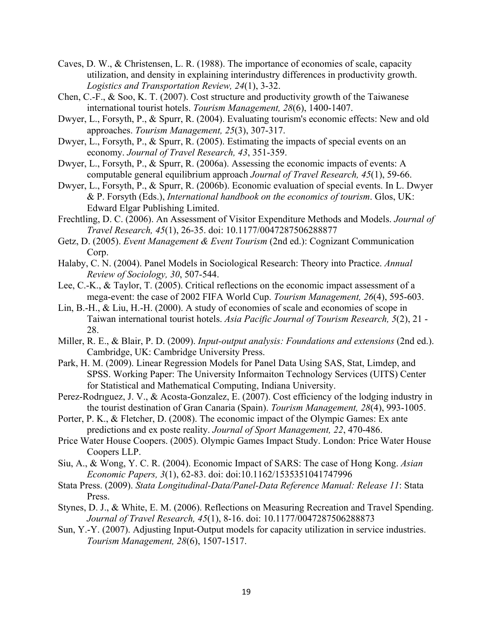- Caves, D. W., & Christensen, L. R. (1988). The importance of economies of scale, capacity utilization, and density in explaining interindustry differences in productivity growth. *Logistics and Transportation Review, 24*(1), 3-32.
- Chen, C.-F., & Soo, K. T. (2007). Cost structure and productivity growth of the Taiwanese international tourist hotels. *Tourism Management, 28*(6), 1400-1407.
- Dwyer, L., Forsyth, P., & Spurr, R. (2004). Evaluating tourism's economic effects: New and old approaches. *Tourism Management, 25*(3), 307-317.
- Dwyer, L., Forsyth, P., & Spurr, R. (2005). Estimating the impacts of special events on an economy. *Journal of Travel Research, 43*, 351-359.
- Dwyer, L., Forsyth, P., & Spurr, R. (2006a). Assessing the economic impacts of events: A computable general equilibrium approach *Journal of Travel Research, 45*(1), 59-66.
- Dwyer, L., Forsyth, P., & Spurr, R. (2006b). Economic evaluation of special events. In L. Dwyer & P. Forsyth (Eds.), *International handbook on the economics of tourism*. Glos, UK: Edward Elgar Publishing Limited.
- Frechtling, D. C. (2006). An Assessment of Visitor Expenditure Methods and Models. *Journal of Travel Research, 45*(1), 26-35. doi: 10.1177/0047287506288877
- Getz, D. (2005). *Event Management & Event Tourism* (2nd ed.): Cognizant Communication Corp.
- Halaby, C. N. (2004). Panel Models in Sociological Research: Theory into Practice. *Annual Review of Sociology, 30*, 507-544.
- Lee, C.-K., & Taylor, T. (2005). Critical reflections on the economic impact assessment of a mega-event: the case of 2002 FIFA World Cup. *Tourism Management, 26*(4), 595-603.
- Lin, B.-H., & Liu, H.-H. (2000). A study of economies of scale and economies of scope in Taiwan international tourist hotels. *Asia Pacific Journal of Tourism Research, 5*(2), 21 - 28.
- Miller, R. E., & Blair, P. D. (2009). *Input-output analysis: Foundations and extensions* (2nd ed.). Cambridge, UK: Cambridge University Press.
- Park, H. M. (2009). Linear Regression Models for Panel Data Using SAS, Stat, Limdep, and SPSS. Working Paper: The University Informaiton Technology Services (UITS) Center for Statistical and Mathematical Computing, Indiana University.
- Perez-Rodrıguez, J. V., & Acosta-Gonzalez, E. (2007). Cost efficiency of the lodging industry in the tourist destination of Gran Canaria (Spain). *Tourism Management, 28*(4), 993-1005.
- Porter, P. K., & Fletcher, D. (2008). The economic impact of the Olympic Games: Ex ante predictions and ex poste reality. *Journal of Sport Management, 22*, 470-486.
- Price Water House Coopers. (2005). Olympic Games Impact Study. London: Price Water House Coopers LLP.
- Siu, A., & Wong, Y. C. R. (2004). Economic Impact of SARS: The case of Hong Kong. *Asian Economic Papers, 3*(1), 62-83. doi: doi:10.1162/1535351041747996
- Stata Press. (2009). *Stata Longitudinal-Data/Panel-Data Reference Manual: Release 11*: Stata Press.
- Stynes, D. J., & White, E. M. (2006). Reflections on Measuring Recreation and Travel Spending. *Journal of Travel Research, 45*(1), 8-16. doi: 10.1177/0047287506288873
- Sun, Y.-Y. (2007). Adjusting Input-Output models for capacity utilization in service industries. *Tourism Management, 28*(6), 1507-1517.